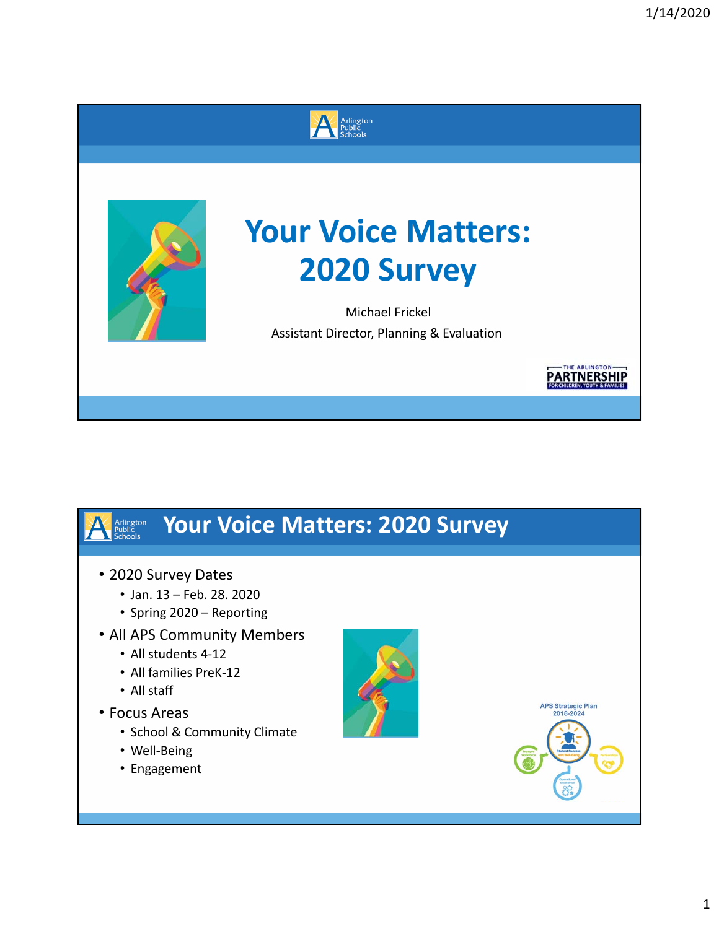



# **Your Voice Matters: 2020 Survey**

Michael Frickel Assistant Director, Planning & Evaluation

## **Your Voice Matters: 2020 Survey**

• 2020 Survey Dates

Arlington<br>Public<br>Schools

- Jan. 13 Feb. 28. 2020
- Spring 2020 Reporting
- All APS Community Members
	- All students 4‐12
	- All families PreK‐12
	- All staff
- Focus Areas
	- School & Community Climate
	- Well‐Being
	- Engagement





THE ARLINGTON **PARTNERSHIP**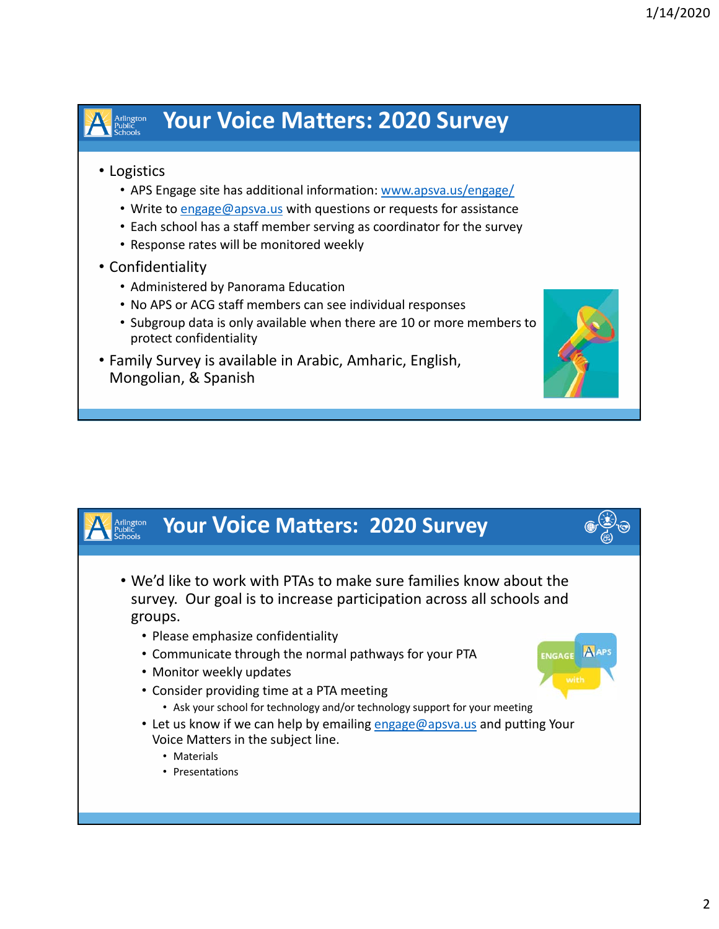## Arlington<br>Public<br>Schools

### **Your Voice Matters: 2020 Survey**

#### • Logistics

- APS Engage site has additional information: www.apsva.us/engage/
- Write to engage@apsva.us with questions or requests for assistance
- Each school has a staff member serving as coordinator for the survey
- Response rates will be monitored weekly

#### • Confidentiality

- Administered by Panorama Education
- No APS or ACG staff members can see individual responses
- Subgroup data is only available when there are 10 or more members to protect confidentiality
- Family Survey is available in Arabic, Amharic, English, Mongolian, & Spanish

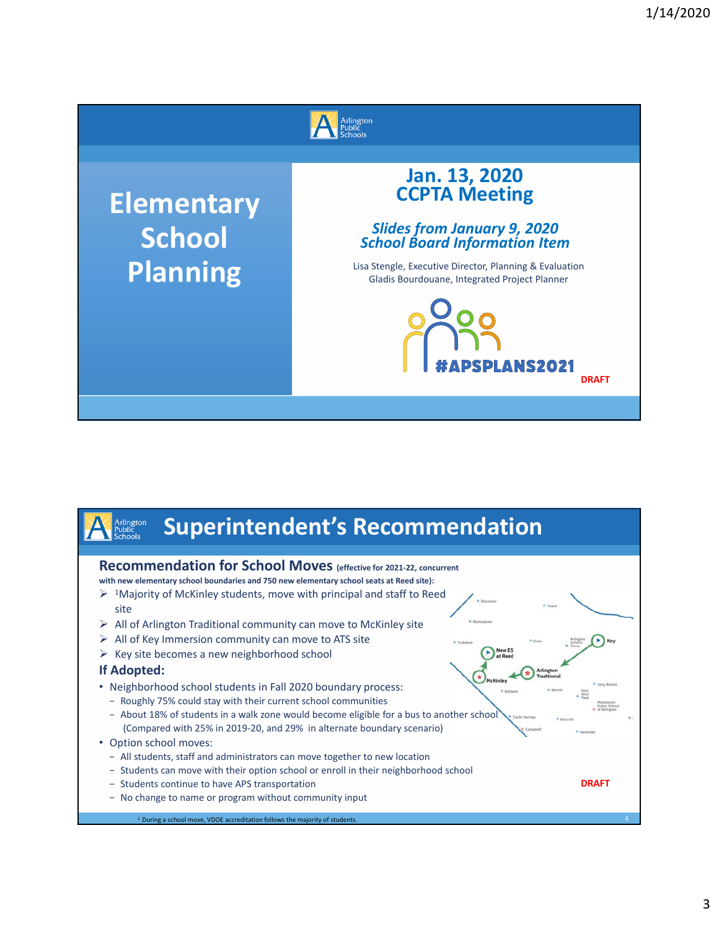

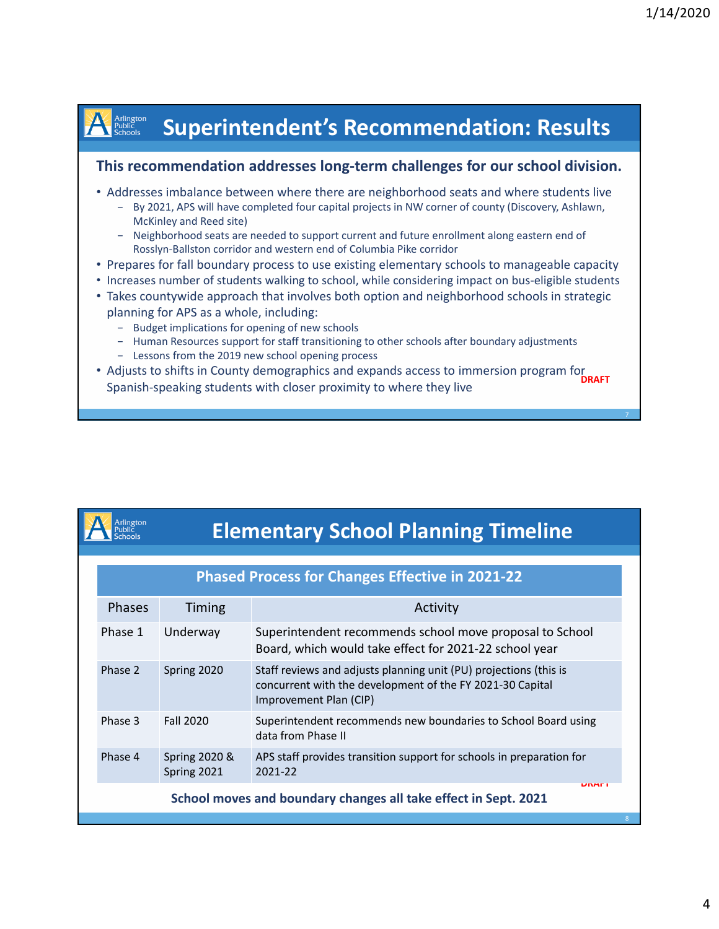### **Superintendent's Recommendation: Results**

#### **This recommendation addresses long‐term challenges for our school division.**

- Addresses imbalance between where there are neighborhood seats and where students live
	- − By 2021, APS will have completed four capital projects in NW corner of county (Discovery, Ashlawn, McKinley and Reed site)
	- − Neighborhood seats are needed to support current and future enrollment along eastern end of Rosslyn‐Ballston corridor and western end of Columbia Pike corridor
- Prepares for fall boundary process to use existing elementary schools to manageable capacity
- Increases number of students walking to school, while considering impact on bus-eligible students
- Takes countywide approach that involves both option and neighborhood schools in strategic planning for APS as a whole, including:
	- − Budget implications for opening of new schools

Arlington<br>Public<br>Schools

**Arlington** 

- − Human Resources support for staff transitioning to other schools after boundary adjustments
- − Lessons from the 2019 new school opening process
- Adjusts to shifts in County demographics and expands access to immersion program for **DRAFT** Spanish‐speaking students with closer proximity to where they live

|               |                                         | <b>EIGHTGHTGHT, DONOOT FRIHMING FINICIALS</b>                                                                                                            |
|---------------|-----------------------------------------|----------------------------------------------------------------------------------------------------------------------------------------------------------|
|               |                                         | <b>Phased Process for Changes Effective in 2021-22</b>                                                                                                   |
| <b>Phases</b> | <b>Timing</b>                           | Activity                                                                                                                                                 |
| Phase 1       | Underway                                | Superintendent recommends school move proposal to School<br>Board, which would take effect for 2021-22 school year                                       |
| Phase 2       | Spring 2020                             | Staff reviews and adjusts planning unit (PU) projections (this is<br>concurrent with the development of the FY 2021-30 Capital<br>Improvement Plan (CIP) |
| Phase 3       | <b>Fall 2020</b>                        | Superintendent recommends new boundaries to School Board using<br>data from Phase II                                                                     |
| Phase 4       | <b>Spring 2020 &amp;</b><br>Spring 2021 | APS staff provides transition support for schools in preparation for<br>2021-22                                                                          |
|               |                                         | UNAF I<br>School moves and boundary changes all take effect in Sept. 2021                                                                                |
|               |                                         |                                                                                                                                                          |

**Elementary School Planning Timeline**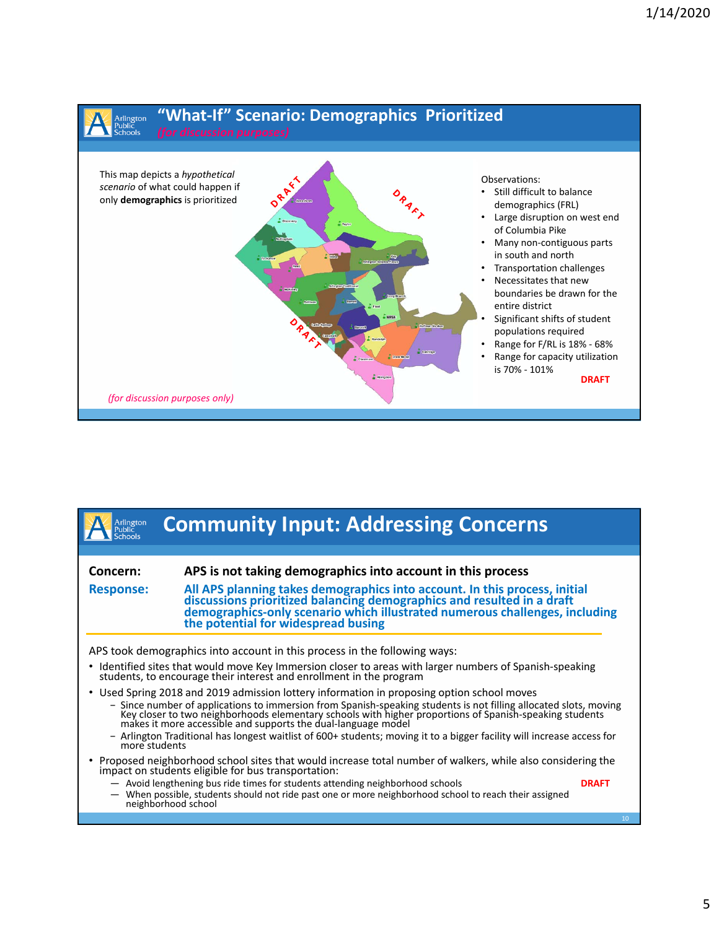

| Arlington<br>Public<br><b>Schools</b> | <b>Community Input: Addressing Concerns</b>                                                                                                                                                                                                                                                                                                                                                                                                                                                                         |                 |
|---------------------------------------|---------------------------------------------------------------------------------------------------------------------------------------------------------------------------------------------------------------------------------------------------------------------------------------------------------------------------------------------------------------------------------------------------------------------------------------------------------------------------------------------------------------------|-----------------|
|                                       |                                                                                                                                                                                                                                                                                                                                                                                                                                                                                                                     |                 |
| Concern:                              | APS is not taking demographics into account in this process                                                                                                                                                                                                                                                                                                                                                                                                                                                         |                 |
| <b>Response:</b>                      | All APS planning takes demographics into account. In this process, initial<br>discussions prioritized balancing demographics and resulted in a draft<br>demographics-only scenario which illustrated numerous challenges, including<br>the potential for widespread busing                                                                                                                                                                                                                                          |                 |
|                                       | APS took demographics into account in this process in the following ways:                                                                                                                                                                                                                                                                                                                                                                                                                                           |                 |
|                                       | • Identified sites that would move Key Immersion closer to areas with larger numbers of Spanish-speaking students, to encourage their interest and enrollment in the program                                                                                                                                                                                                                                                                                                                                        |                 |
| ٠<br>more students                    | Used Spring 2018 and 2019 admission lottery information in proposing option school moves<br>- Since number of applications to immersion from Spanish-speaking students is not filling allocated slots, moving<br>Key closer to two neighborhoods elementary schools with higher proportions of Spanish-speaking students<br>makes it more accessible and supports the dual-language model<br>- Arlington Traditional has longest waitlist of 600+ students; moving it to a bigger facility will increase access for |                 |
|                                       | • Proposed neighborhood school sites that would increase total number of walkers, while also considering the<br>impact on students eligible for bus transportation:                                                                                                                                                                                                                                                                                                                                                 |                 |
|                                       | - Avoid lengthening bus ride times for students attending neighborhood schools<br>- When possible, students should not ride past one or more neighborhood school to reach their assigned<br>neighborhood school                                                                                                                                                                                                                                                                                                     | <b>DRAFT</b>    |
|                                       |                                                                                                                                                                                                                                                                                                                                                                                                                                                                                                                     | 10 <sup>°</sup> |